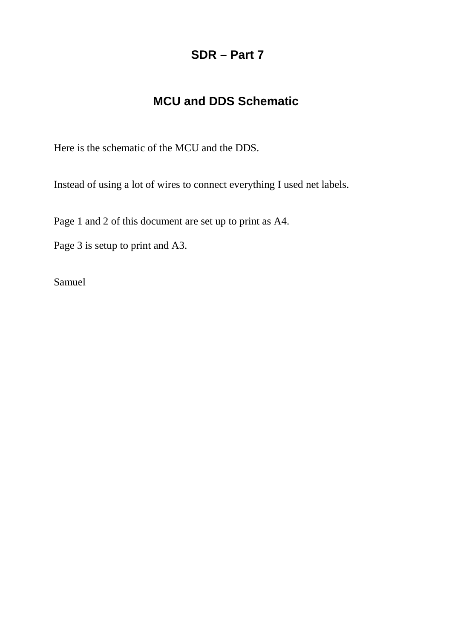## **SDR – Part 7**

## **MCU and DDS Schematic**

Here is the schematic of the MCU and the DDS.

Instead of using a lot of wires to connect everything I used net labels.

Page 1 and 2 of this document are set up to print as A4.

Page 3 is setup to print and A3.

Samuel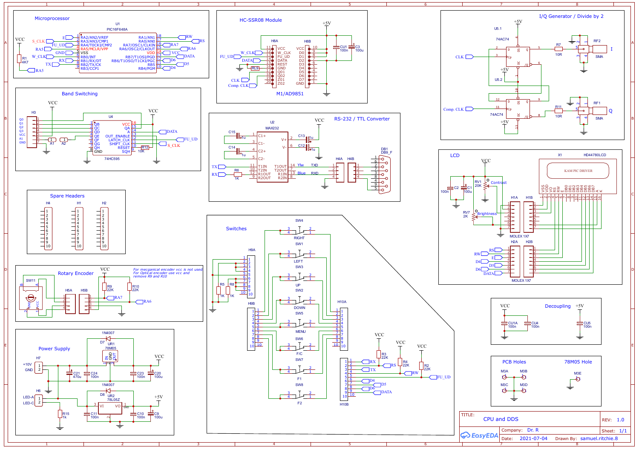